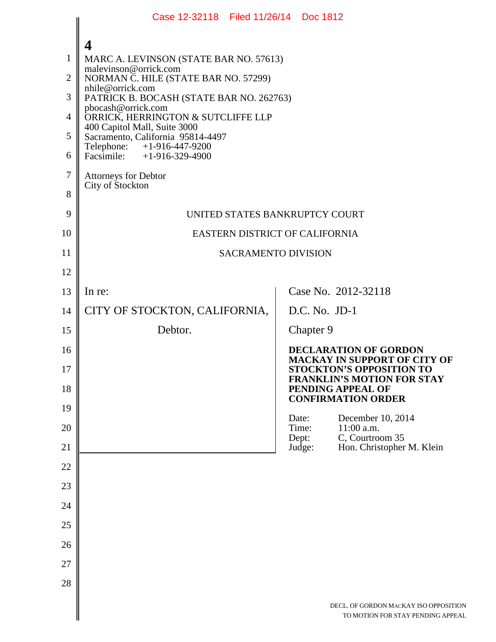|                | Case 12-32118 Filed 11/26/14 Doc 1812                             |  |                                                                                     |                                                                                                        |
|----------------|-------------------------------------------------------------------|--|-------------------------------------------------------------------------------------|--------------------------------------------------------------------------------------------------------|
|                | 4                                                                 |  |                                                                                     |                                                                                                        |
| $\mathbf{1}$   | MARC A. LEVINSON (STATE BAR NO. 57613)                            |  |                                                                                     |                                                                                                        |
| $\overline{2}$ | malevinson@orrick.com<br>NORMAN C. HILE (STATE BAR NO. 57299)     |  |                                                                                     |                                                                                                        |
| 3              | nhile@orrick.com<br>PATRICK B. BOCASH (STATE BAR NO. 262763)      |  |                                                                                     |                                                                                                        |
| 4              | pbocash@orrick.com<br>ORRICK, HERRINGTON & SUTCLIFFE LLP          |  |                                                                                     |                                                                                                        |
| 5              | 400 Capitol Mall, Suite 3000<br>Sacramento, California 95814-4497 |  |                                                                                     |                                                                                                        |
| 6              | Telephone: +1-916-447-9200<br>Facsimile: $+1-916-329-4900$        |  |                                                                                     |                                                                                                        |
| 7              | <b>Attorneys for Debtor</b>                                       |  |                                                                                     |                                                                                                        |
| 8              | City of Stockton                                                  |  |                                                                                     |                                                                                                        |
| 9              | UNITED STATES BANKRUPTCY COURT                                    |  |                                                                                     |                                                                                                        |
| 10             | EASTERN DISTRICT OF CALIFORNIA                                    |  |                                                                                     |                                                                                                        |
| 11             | <b>SACRAMENTO DIVISION</b>                                        |  |                                                                                     |                                                                                                        |
| 12             |                                                                   |  |                                                                                     |                                                                                                        |
| 13             | In re:                                                            |  |                                                                                     | Case No. 2012-32118                                                                                    |
| 14             | CITY OF STOCKTON, CALIFORNIA,                                     |  | $D.C. No. JD-1$                                                                     |                                                                                                        |
| 15             | Debtor.                                                           |  | Chapter 9                                                                           |                                                                                                        |
| 16<br>17       |                                                                   |  |                                                                                     | <b>DECLARATION OF GORDON</b><br><b>MACKAY IN SUPPORT OF CITY OF</b><br><b>STOCKTON'S OPPOSITION TO</b> |
| 18             |                                                                   |  | <b>FRANKLIN'S MOTION FOR STAY</b><br>PENDING APPEAL OF<br><b>CONFIRMATION ORDER</b> |                                                                                                        |
| 19             |                                                                   |  | Date:                                                                               | December 10, 2014                                                                                      |
| 20<br>21       |                                                                   |  | Time:<br>Dept:<br>Judge:                                                            | $11:00$ a.m.<br>C, Courtroom 35<br>Hon. Christopher M. Klein                                           |
| 22             |                                                                   |  |                                                                                     |                                                                                                        |
| 23             |                                                                   |  |                                                                                     |                                                                                                        |
| 24             |                                                                   |  |                                                                                     |                                                                                                        |
| 25             |                                                                   |  |                                                                                     |                                                                                                        |
| 26             |                                                                   |  |                                                                                     |                                                                                                        |
| 27             |                                                                   |  |                                                                                     |                                                                                                        |
| 28             |                                                                   |  |                                                                                     |                                                                                                        |
|                |                                                                   |  |                                                                                     | DECL. OF GORDON MACKAY ISO OPPOSITION<br>TO MOTION FOR STAY PENDING APPEAL                             |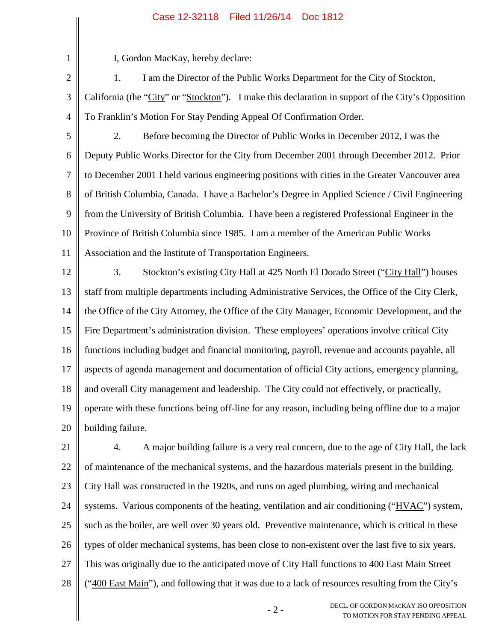## Case 12-32118 Filed 11/26/14 Doc 1812

1 2

3

I, Gordon MacKay, hereby declare:

1. I am the Director of the Public Works Department for the City of Stockton, California (the "City" or "Stockton"). I make this declaration in support of the City's Opposition To Franklin's Motion For Stay Pending Appeal Of Confirmation Order.

4

5 6 7 8 9 10 11 2. Before becoming the Director of Public Works in December 2012, I was the Deputy Public Works Director for the City from December 2001 through December 2012. Prior to December 2001 I held various engineering positions with cities in the Greater Vancouver area of British Columbia, Canada. I have a Bachelor's Degree in Applied Science / Civil Engineering from the University of British Columbia. I have been a registered Professional Engineer in the Province of British Columbia since 1985. I am a member of the American Public Works Association and the Institute of Transportation Engineers.

- 12 13 14 15 16 17 18 19 20 3. Stockton's existing City Hall at 425 North El Dorado Street ("City Hall") houses staff from multiple departments including Administrative Services, the Office of the City Clerk, the Office of the City Attorney, the Office of the City Manager, Economic Development, and the Fire Department's administration division. These employees' operations involve critical City functions including budget and financial monitoring, payroll, revenue and accounts payable, all aspects of agenda management and documentation of official City actions, emergency planning, and overall City management and leadership. The City could not effectively, or practically, operate with these functions being off-line for any reason, including being offline due to a major building failure.
- 21 22 23 24 25 26 27 28 4. A major building failure is a very real concern, due to the age of City Hall, the lack of maintenance of the mechanical systems, and the hazardous materials present in the building. City Hall was constructed in the 1920s, and runs on aged plumbing, wiring and mechanical systems. Various components of the heating, ventilation and air conditioning ("HVAC") system, such as the boiler, are well over 30 years old. Preventive maintenance, which is critical in these types of older mechanical systems, has been close to non-existent over the last five to six years. This was originally due to the anticipated move of City Hall functions to 400 East Main Street ("400 East Main"), and following that it was due to a lack of resources resulting from the City's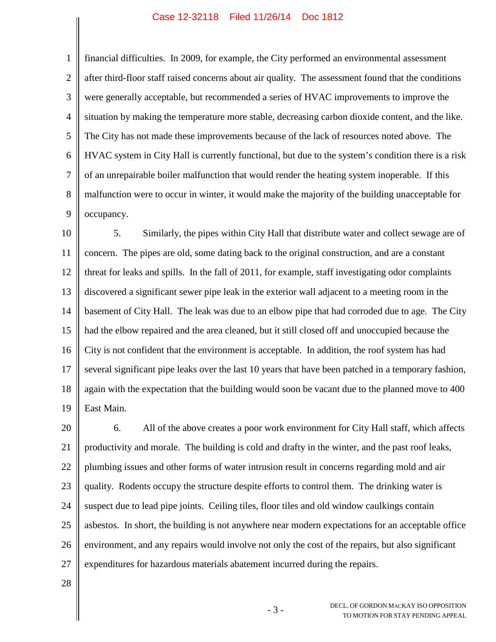## Case 12-32118 Filed 11/26/14 Doc 1812

1 2 3 4 5 6 7 8 9 financial difficulties. In 2009, for example, the City performed an environmental assessment after third-floor staff raised concerns about air quality. The assessment found that the conditions were generally acceptable, but recommended a series of HVAC improvements to improve the situation by making the temperature more stable, decreasing carbon dioxide content, and the like. The City has not made these improvements because of the lack of resources noted above. The HVAC system in City Hall is currently functional, but due to the system's condition there is a risk of an unrepairable boiler malfunction that would render the heating system inoperable. If this malfunction were to occur in winter, it would make the majority of the building unacceptable for occupancy.

10 11 12 13 14 15 16 17 18 19 5. Similarly, the pipes within City Hall that distribute water and collect sewage are of concern. The pipes are old, some dating back to the original construction, and are a constant threat for leaks and spills. In the fall of 2011, for example, staff investigating odor complaints discovered a significant sewer pipe leak in the exterior wall adjacent to a meeting room in the basement of City Hall. The leak was due to an elbow pipe that had corroded due to age. The City had the elbow repaired and the area cleaned, but it still closed off and unoccupied because the City is not confident that the environment is acceptable. In addition, the roof system has had several significant pipe leaks over the last 10 years that have been patched in a temporary fashion, again with the expectation that the building would soon be vacant due to the planned move to 400 East Main.

20 21 22 23 24 25 26 27 6. All of the above creates a poor work environment for City Hall staff, which affects productivity and morale. The building is cold and drafty in the winter, and the past roof leaks, plumbing issues and other forms of water intrusion result in concerns regarding mold and air quality. Rodents occupy the structure despite efforts to control them. The drinking water is suspect due to lead pipe joints. Ceiling tiles, floor tiles and old window caulkings contain asbestos. In short, the building is not anywhere near modern expectations for an acceptable office environment, and any repairs would involve not only the cost of the repairs, but also significant expenditures for hazardous materials abatement incurred during the repairs.

28